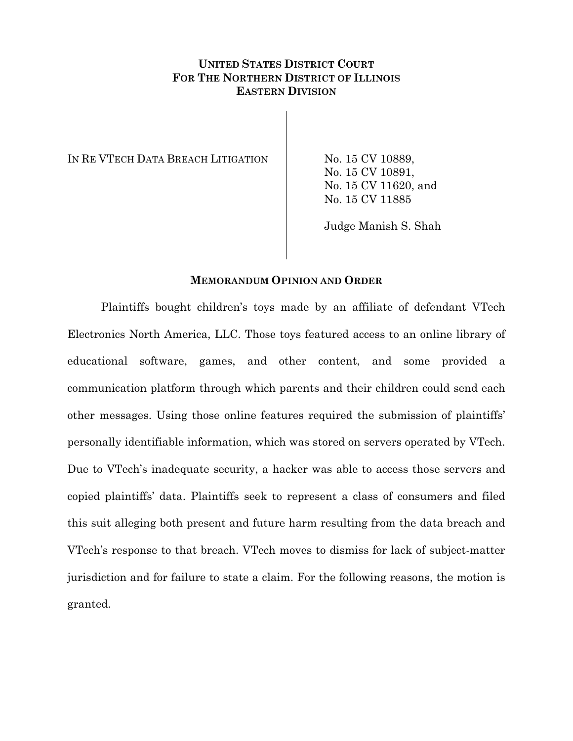# **UNITED STATES DISTRICT COURT FOR THE NORTHERN DISTRICT OF ILLINOIS EASTERN DIVISION**

IN RE VTECH DATA BREACH LITIGATION No. 15 CV 10889,

No. 15 CV 10891, No. 15 CV 11620, and No. 15 CV 11885

Judge Manish S. Shah

### **MEMORANDUM OPINION AND ORDER**

Plaintiffs bought children's toys made by an affiliate of defendant VTech Electronics North America, LLC. Those toys featured access to an online library of educational software, games, and other content, and some provided a communication platform through which parents and their children could send each other messages. Using those online features required the submission of plaintiffs' personally identifiable information, which was stored on servers operated by VTech. Due to VTech's inadequate security, a hacker was able to access those servers and copied plaintiffs' data. Plaintiffs seek to represent a class of consumers and filed this suit alleging both present and future harm resulting from the data breach and VTech's response to that breach. VTech moves to dismiss for lack of subject-matter jurisdiction and for failure to state a claim. For the following reasons, the motion is granted.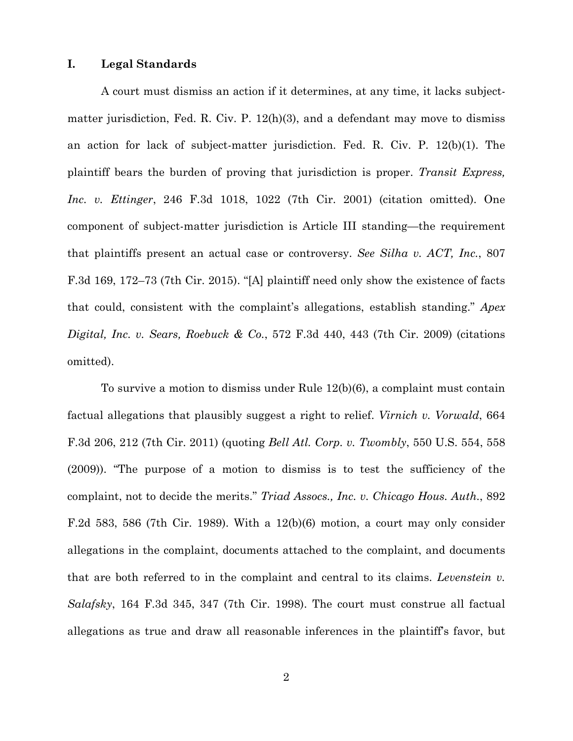#### **I. Legal Standards**

A court must dismiss an action if it determines, at any time, it lacks subjectmatter jurisdiction, Fed. R. Civ. P.  $12(h)(3)$ , and a defendant may move to dismiss an action for lack of subject-matter jurisdiction. Fed. R. Civ. P. 12(b)(1). The plaintiff bears the burden of proving that jurisdiction is proper. *Transit Express, Inc. v. Ettinger*, 246 F.3d 1018, 1022 (7th Cir. 2001) (citation omitted). One component of subject-matter jurisdiction is Article III standing—the requirement that plaintiffs present an actual case or controversy. *See Silha v. ACT, Inc.*, 807 F.3d 169, 172–73 (7th Cir. 2015). "[A] plaintiff need only show the existence of facts that could, consistent with the complaint's allegations, establish standing." *Apex Digital, Inc. v. Sears, Roebuck & Co.*, 572 F.3d 440, 443 (7th Cir. 2009) (citations omitted).

To survive a motion to dismiss under Rule 12(b)(6), a complaint must contain factual allegations that plausibly suggest a right to relief. *Virnich v. Vorwald*, 664 F.3d 206, 212 (7th Cir. 2011) (quoting *Bell Atl. Corp. v. Twombly*, 550 U.S. 554, 558 (2009)). "The purpose of a motion to dismiss is to test the sufficiency of the complaint, not to decide the merits." *Triad Assocs., Inc. v. Chicago Hous. Auth.*, 892 F.2d 583, 586 (7th Cir. 1989). With a  $12(b)(6)$  motion, a court may only consider allegations in the complaint, documents attached to the complaint, and documents that are both referred to in the complaint and central to its claims. *Levenstein v. Salafsky*, 164 F.3d 345, 347 (7th Cir. 1998). The court must construe all factual allegations as true and draw all reasonable inferences in the plaintiff's favor, but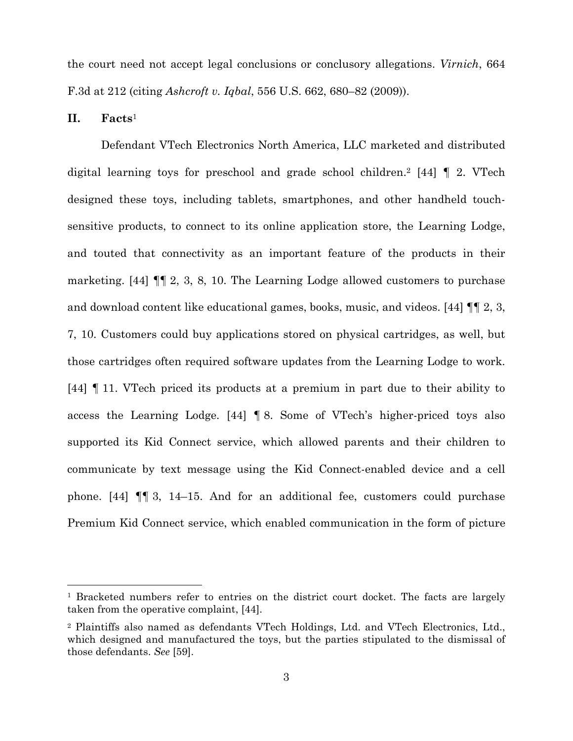the court need not accept legal conclusions or conclusory allegations. *Virnich*, 664 F.3d at 212 (citing *Ashcroft v. Iqbal*, 556 U.S. 662, 680–82 (2009)).

**II. Facts**<sup>1</sup>

 $\overline{a}$ 

Defendant VTech Electronics North America, LLC marketed and distributed digital learning toys for preschool and grade school children.<sup>2</sup> [44]  $\parallel$  2. VTech designed these toys, including tablets, smartphones, and other handheld touchsensitive products, to connect to its online application store, the Learning Lodge, and touted that connectivity as an important feature of the products in their marketing. [44] ¶¶ 2, 3, 8, 10. The Learning Lodge allowed customers to purchase and download content like educational games, books, music, and videos. [44] ¶¶ 2, 3, 7, 10. Customers could buy applications stored on physical cartridges, as well, but those cartridges often required software updates from the Learning Lodge to work. [44] ¶ 11. VTech priced its products at a premium in part due to their ability to access the Learning Lodge. [44] ¶ 8. Some of VTech's higher-priced toys also supported its Kid Connect service, which allowed parents and their children to communicate by text message using the Kid Connect-enabled device and a cell phone. [44] ¶¶ 3, 14–15. And for an additional fee, customers could purchase Premium Kid Connect service, which enabled communication in the form of picture

<sup>&</sup>lt;sup>1</sup> Bracketed numbers refer to entries on the district court docket. The facts are largely taken from the operative complaint, [44].

<sup>2</sup> Plaintiffs also named as defendants VTech Holdings, Ltd. and VTech Electronics, Ltd., which designed and manufactured the toys, but the parties stipulated to the dismissal of those defendants. *See* [59].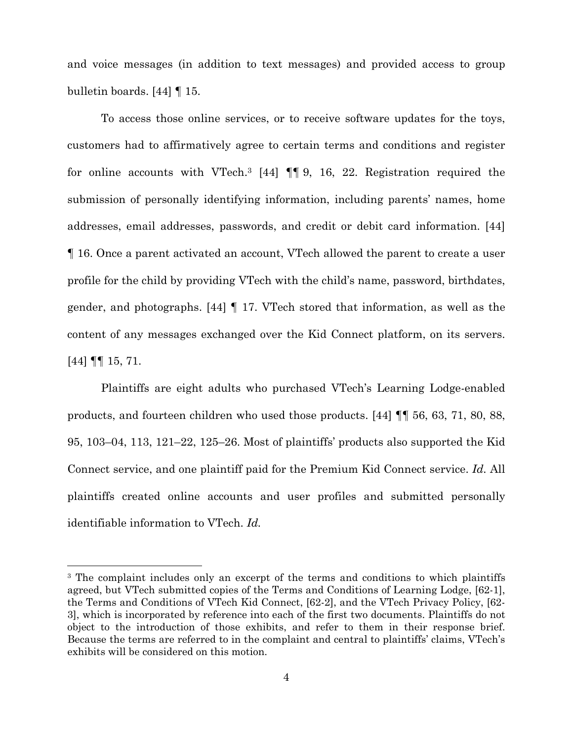and voice messages (in addition to text messages) and provided access to group bulletin boards. [44] ¶ 15.

To access those online services, or to receive software updates for the toys, customers had to affirmatively agree to certain terms and conditions and register for online accounts with VTech.3 [44] ¶¶ 9, 16, 22. Registration required the submission of personally identifying information, including parents' names, home addresses, email addresses, passwords, and credit or debit card information. [44] ¶ 16. Once a parent activated an account, VTech allowed the parent to create a user profile for the child by providing VTech with the child's name, password, birthdates, gender, and photographs. [44] ¶ 17. VTech stored that information, as well as the content of any messages exchanged over the Kid Connect platform, on its servers. [44] ¶¶ 15, 71.

Plaintiffs are eight adults who purchased VTech's Learning Lodge-enabled products, and fourteen children who used those products. [44] ¶¶ 56, 63, 71, 80, 88, 95, 103–04, 113, 121–22, 125–26. Most of plaintiffs' products also supported the Kid Connect service, and one plaintiff paid for the Premium Kid Connect service. *Id.* All plaintiffs created online accounts and user profiles and submitted personally identifiable information to VTech. *Id.*

 $\overline{a}$ 

<sup>&</sup>lt;sup>3</sup> The complaint includes only an excerpt of the terms and conditions to which plaintiffs agreed, but VTech submitted copies of the Terms and Conditions of Learning Lodge, [62-1], the Terms and Conditions of VTech Kid Connect, [62-2], and the VTech Privacy Policy, [62- 3], which is incorporated by reference into each of the first two documents. Plaintiffs do not object to the introduction of those exhibits, and refer to them in their response brief. Because the terms are referred to in the complaint and central to plaintiffs' claims, VTech's exhibits will be considered on this motion.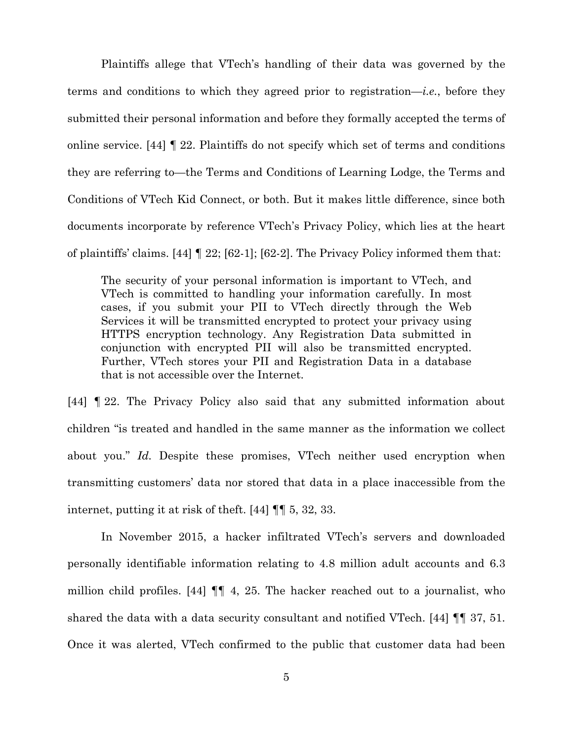Plaintiffs allege that VTech's handling of their data was governed by the terms and conditions to which they agreed prior to registration—*i.e.*, before they submitted their personal information and before they formally accepted the terms of online service. [44] ¶ 22. Plaintiffs do not specify which set of terms and conditions they are referring to—the Terms and Conditions of Learning Lodge, the Terms and Conditions of VTech Kid Connect, or both. But it makes little difference, since both documents incorporate by reference VTech's Privacy Policy, which lies at the heart of plaintiffs' claims. [44] ¶ 22; [62-1]; [62-2]. The Privacy Policy informed them that:

The security of your personal information is important to VTech, and VTech is committed to handling your information carefully. In most cases, if you submit your PII to VTech directly through the Web Services it will be transmitted encrypted to protect your privacy using HTTPS encryption technology. Any Registration Data submitted in conjunction with encrypted PII will also be transmitted encrypted. Further, VTech stores your PII and Registration Data in a database that is not accessible over the Internet.

[44] ¶ 22. The Privacy Policy also said that any submitted information about children "is treated and handled in the same manner as the information we collect about you." *Id.* Despite these promises, VTech neither used encryption when transmitting customers' data nor stored that data in a place inaccessible from the internet, putting it at risk of theft. [44] ¶¶ 5, 32, 33.

In November 2015, a hacker infiltrated VTech's servers and downloaded personally identifiable information relating to 4.8 million adult accounts and 6.3 million child profiles. [44] ¶¶ 4, 25. The hacker reached out to a journalist, who shared the data with a data security consultant and notified VTech. [44] ¶¶ 37, 51. Once it was alerted, VTech confirmed to the public that customer data had been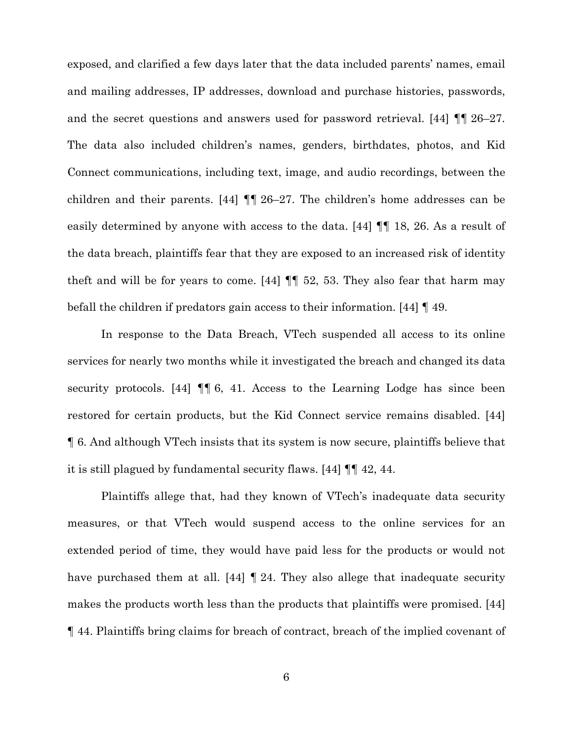exposed, and clarified a few days later that the data included parents' names, email and mailing addresses, IP addresses, download and purchase histories, passwords, and the secret questions and answers used for password retrieval. [44] ¶¶ 26–27. The data also included children's names, genders, birthdates, photos, and Kid Connect communications, including text, image, and audio recordings, between the children and their parents. [44] ¶¶ 26–27. The children's home addresses can be easily determined by anyone with access to the data. [44] ¶¶ 18, 26. As a result of the data breach, plaintiffs fear that they are exposed to an increased risk of identity theft and will be for years to come.  $[44]$   $\P$  52, 53. They also fear that harm may befall the children if predators gain access to their information. [44] ¶ 49.

In response to the Data Breach, VTech suspended all access to its online services for nearly two months while it investigated the breach and changed its data security protocols. [44] ¶¶ 6, 41. Access to the Learning Lodge has since been restored for certain products, but the Kid Connect service remains disabled. [44] ¶ 6. And although VTech insists that its system is now secure, plaintiffs believe that it is still plagued by fundamental security flaws. [44] ¶¶ 42, 44.

Plaintiffs allege that, had they known of VTech's inadequate data security measures, or that VTech would suspend access to the online services for an extended period of time, they would have paid less for the products or would not have purchased them at all. [44] **[24.** They also allege that inadequate security makes the products worth less than the products that plaintiffs were promised. [44] ¶ 44. Plaintiffs bring claims for breach of contract, breach of the implied covenant of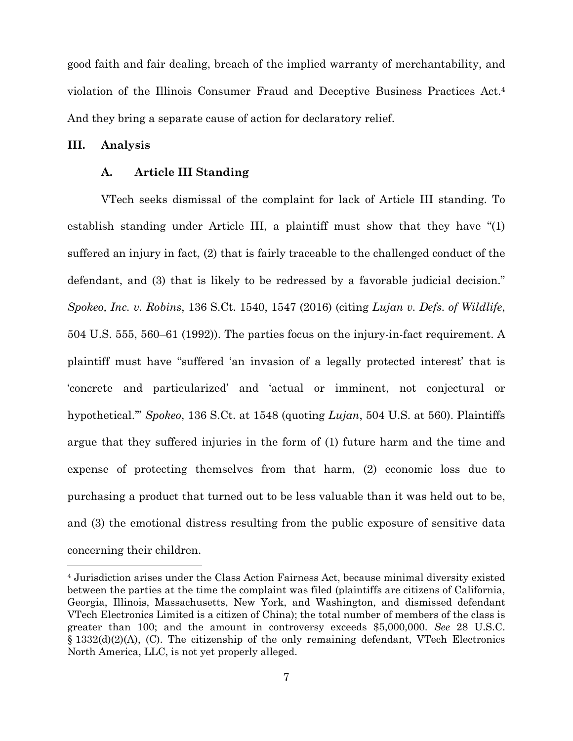good faith and fair dealing, breach of the implied warranty of merchantability, and violation of the Illinois Consumer Fraud and Deceptive Business Practices Act.4 And they bring a separate cause of action for declaratory relief.

#### **III. Analysis**

1

### **A. Article III Standing**

VTech seeks dismissal of the complaint for lack of Article III standing. To establish standing under Article III, a plaintiff must show that they have "(1) suffered an injury in fact, (2) that is fairly traceable to the challenged conduct of the defendant, and (3) that is likely to be redressed by a favorable judicial decision." *Spokeo, Inc. v. Robins*, 136 S.Ct. 1540, 1547 (2016) (citing *Lujan v. Defs. of Wildlife*, 504 U.S. 555, 560–61 (1992)). The parties focus on the injury-in-fact requirement. A plaintiff must have "suffered 'an invasion of a legally protected interest' that is 'concrete and particularized' and 'actual or imminent, not conjectural or hypothetical.'" *Spokeo*, 136 S.Ct. at 1548 (quoting *Lujan*, 504 U.S. at 560). Plaintiffs argue that they suffered injuries in the form of (1) future harm and the time and expense of protecting themselves from that harm, (2) economic loss due to purchasing a product that turned out to be less valuable than it was held out to be, and (3) the emotional distress resulting from the public exposure of sensitive data concerning their children.

<sup>4</sup> Jurisdiction arises under the Class Action Fairness Act, because minimal diversity existed between the parties at the time the complaint was filed (plaintiffs are citizens of California, Georgia, Illinois, Massachusetts, New York, and Washington, and dismissed defendant VTech Electronics Limited is a citizen of China); the total number of members of the class is greater than 100; and the amount in controversy exceeds \$5,000,000. *See* 28 U.S.C.  $\S$  1332(d)(2)(A), (C). The citizenship of the only remaining defendant, VTech Electronics North America, LLC, is not yet properly alleged.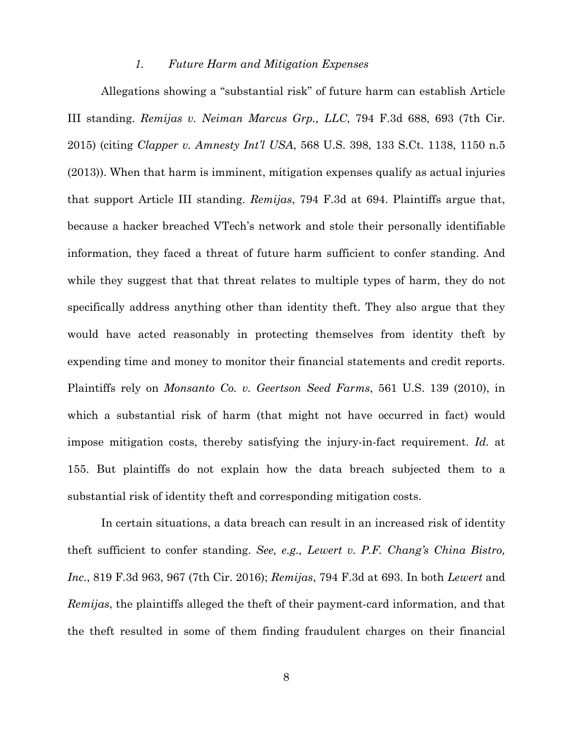#### *1. Future Harm and Mitigation Expenses*

Allegations showing a "substantial risk" of future harm can establish Article III standing. *Remijas v. Neiman Marcus Grp., LLC*, 794 F.3d 688, 693 (7th Cir. 2015) (citing *Clapper v. Amnesty Int'l USA*, 568 U.S. 398, 133 S.Ct. 1138, 1150 n.5 (2013)). When that harm is imminent, mitigation expenses qualify as actual injuries that support Article III standing. *Remijas*, 794 F.3d at 694. Plaintiffs argue that, because a hacker breached VTech's network and stole their personally identifiable information, they faced a threat of future harm sufficient to confer standing. And while they suggest that that threat relates to multiple types of harm, they do not specifically address anything other than identity theft. They also argue that they would have acted reasonably in protecting themselves from identity theft by expending time and money to monitor their financial statements and credit reports. Plaintiffs rely on *Monsanto Co. v. Geertson Seed Farms*, 561 U.S. 139 (2010), in which a substantial risk of harm (that might not have occurred in fact) would impose mitigation costs, thereby satisfying the injury-in-fact requirement. *Id.* at 155. But plaintiffs do not explain how the data breach subjected them to a substantial risk of identity theft and corresponding mitigation costs.

In certain situations, a data breach can result in an increased risk of identity theft sufficient to confer standing. *See, e.g., Lewert v. P.F. Chang's China Bistro, Inc.*, 819 F.3d 963, 967 (7th Cir. 2016); *Remijas*, 794 F.3d at 693. In both *Lewert* and *Remijas*, the plaintiffs alleged the theft of their payment-card information, and that the theft resulted in some of them finding fraudulent charges on their financial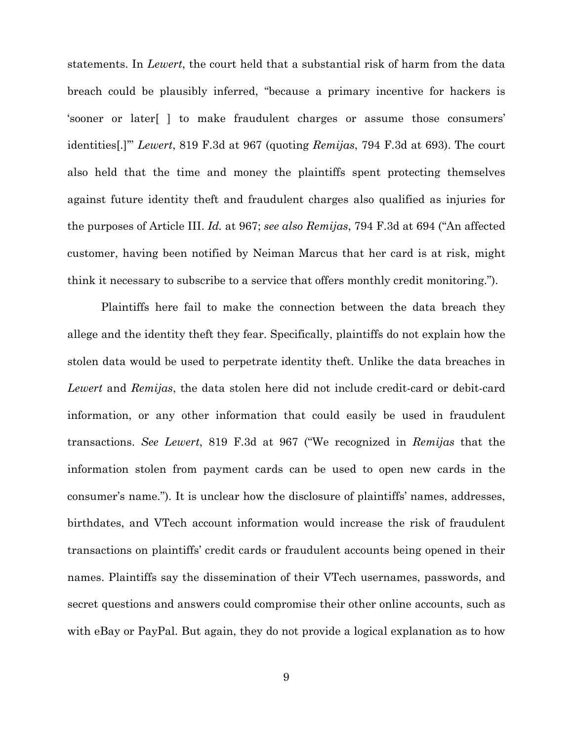statements. In *Lewert*, the court held that a substantial risk of harm from the data breach could be plausibly inferred, "because a primary incentive for hackers is 'sooner or later[ ] to make fraudulent charges or assume those consumers' identities[.]'" *Lewert*, 819 F.3d at 967 (quoting *Remijas*, 794 F.3d at 693). The court also held that the time and money the plaintiffs spent protecting themselves against future identity theft and fraudulent charges also qualified as injuries for the purposes of Article III. *Id.* at 967; *see also Remijas*, 794 F.3d at 694 ("An affected customer, having been notified by Neiman Marcus that her card is at risk, might think it necessary to subscribe to a service that offers monthly credit monitoring.").

Plaintiffs here fail to make the connection between the data breach they allege and the identity theft they fear. Specifically, plaintiffs do not explain how the stolen data would be used to perpetrate identity theft. Unlike the data breaches in *Lewert* and *Remijas*, the data stolen here did not include credit-card or debit-card information, or any other information that could easily be used in fraudulent transactions. *See Lewert*, 819 F.3d at 967 ("We recognized in *Remijas* that the information stolen from payment cards can be used to open new cards in the consumer's name."). It is unclear how the disclosure of plaintiffs' names, addresses, birthdates, and VTech account information would increase the risk of fraudulent transactions on plaintiffs' credit cards or fraudulent accounts being opened in their names. Plaintiffs say the dissemination of their VTech usernames, passwords, and secret questions and answers could compromise their other online accounts, such as with eBay or PayPal. But again, they do not provide a logical explanation as to how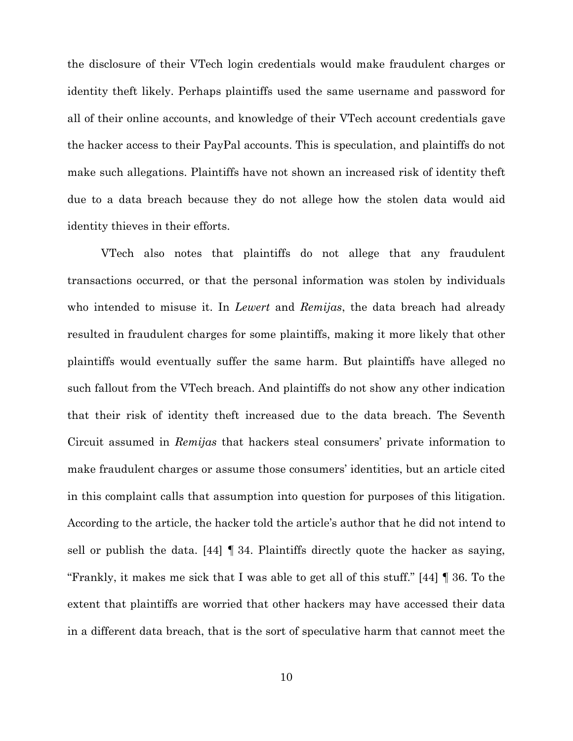the disclosure of their VTech login credentials would make fraudulent charges or identity theft likely. Perhaps plaintiffs used the same username and password for all of their online accounts, and knowledge of their VTech account credentials gave the hacker access to their PayPal accounts. This is speculation, and plaintiffs do not make such allegations. Plaintiffs have not shown an increased risk of identity theft due to a data breach because they do not allege how the stolen data would aid identity thieves in their efforts.

VTech also notes that plaintiffs do not allege that any fraudulent transactions occurred, or that the personal information was stolen by individuals who intended to misuse it. In *Lewert* and *Remijas*, the data breach had already resulted in fraudulent charges for some plaintiffs, making it more likely that other plaintiffs would eventually suffer the same harm. But plaintiffs have alleged no such fallout from the VTech breach. And plaintiffs do not show any other indication that their risk of identity theft increased due to the data breach. The Seventh Circuit assumed in *Remijas* that hackers steal consumers' private information to make fraudulent charges or assume those consumers' identities, but an article cited in this complaint calls that assumption into question for purposes of this litigation. According to the article, the hacker told the article's author that he did not intend to sell or publish the data. [44] ¶ 34. Plaintiffs directly quote the hacker as saying, "Frankly, it makes me sick that I was able to get all of this stuff." [44] ¶ 36. To the extent that plaintiffs are worried that other hackers may have accessed their data in a different data breach, that is the sort of speculative harm that cannot meet the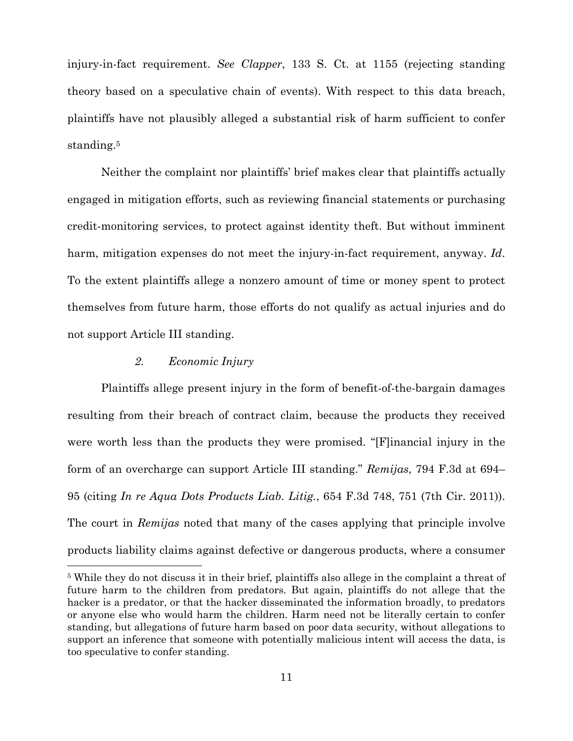injury-in-fact requirement. *See Clapper*, 133 S. Ct. at 1155 (rejecting standing theory based on a speculative chain of events). With respect to this data breach, plaintiffs have not plausibly alleged a substantial risk of harm sufficient to confer standing.<sup>5</sup>

Neither the complaint nor plaintiffs' brief makes clear that plaintiffs actually engaged in mitigation efforts, such as reviewing financial statements or purchasing credit-monitoring services, to protect against identity theft. But without imminent harm, mitigation expenses do not meet the injury-in-fact requirement, anyway. *Id*. To the extent plaintiffs allege a nonzero amount of time or money spent to protect themselves from future harm, those efforts do not qualify as actual injuries and do not support Article III standing.

## *2. Economic Injury*

 $\overline{a}$ 

Plaintiffs allege present injury in the form of benefit-of-the-bargain damages resulting from their breach of contract claim, because the products they received were worth less than the products they were promised. "[F]inancial injury in the form of an overcharge can support Article III standing." *Remijas*, 794 F.3d at 694– 95 (citing *In re Aqua Dots Products Liab. Litig.*, 654 F.3d 748, 751 (7th Cir. 2011)). The court in *Remijas* noted that many of the cases applying that principle involve products liability claims against defective or dangerous products, where a consumer

<sup>5</sup> While they do not discuss it in their brief, plaintiffs also allege in the complaint a threat of future harm to the children from predators. But again, plaintiffs do not allege that the hacker is a predator, or that the hacker disseminated the information broadly, to predators or anyone else who would harm the children. Harm need not be literally certain to confer standing, but allegations of future harm based on poor data security, without allegations to support an inference that someone with potentially malicious intent will access the data, is too speculative to confer standing.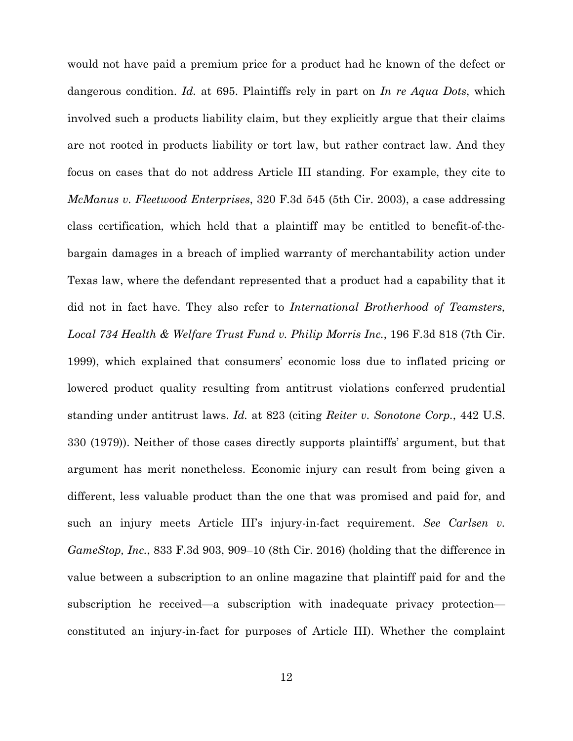would not have paid a premium price for a product had he known of the defect or dangerous condition. *Id.* at 695. Plaintiffs rely in part on *In re Aqua Dots*, which involved such a products liability claim, but they explicitly argue that their claims are not rooted in products liability or tort law, but rather contract law. And they focus on cases that do not address Article III standing. For example, they cite to *McManus v. Fleetwood Enterprises*, 320 F.3d 545 (5th Cir. 2003), a case addressing class certification, which held that a plaintiff may be entitled to benefit-of-thebargain damages in a breach of implied warranty of merchantability action under Texas law, where the defendant represented that a product had a capability that it did not in fact have. They also refer to *International Brotherhood of Teamsters, Local 734 Health & Welfare Trust Fund v. Philip Morris Inc.*, 196 F.3d 818 (7th Cir. 1999), which explained that consumers' economic loss due to inflated pricing or lowered product quality resulting from antitrust violations conferred prudential standing under antitrust laws. *Id.* at 823 (citing *Reiter v. Sonotone Corp.*, 442 U.S. 330 (1979)). Neither of those cases directly supports plaintiffs' argument, but that argument has merit nonetheless. Economic injury can result from being given a different, less valuable product than the one that was promised and paid for, and such an injury meets Article III's injury-in-fact requirement. *See Carlsen v. GameStop, Inc.*, 833 F.3d 903, 909–10 (8th Cir. 2016) (holding that the difference in value between a subscription to an online magazine that plaintiff paid for and the subscription he received—a subscription with inadequate privacy protection constituted an injury-in-fact for purposes of Article III). Whether the complaint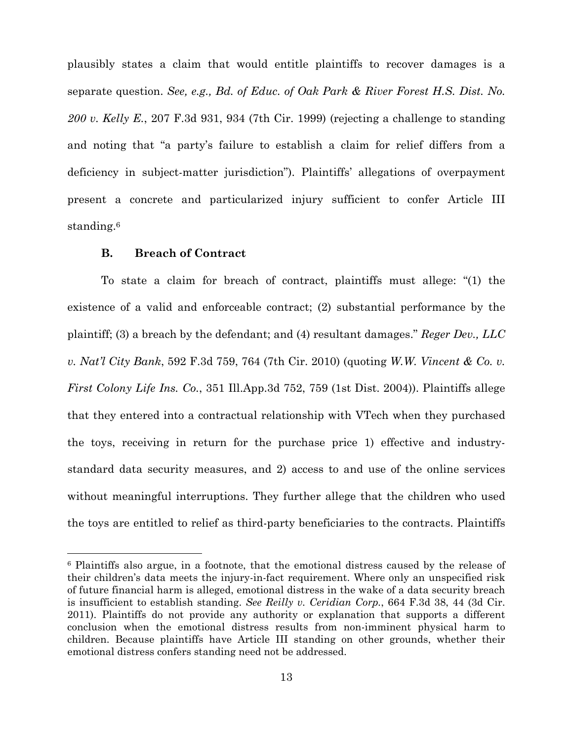plausibly states a claim that would entitle plaintiffs to recover damages is a separate question. *See, e.g., Bd. of Educ. of Oak Park & River Forest H.S. Dist. No. 200 v. Kelly E.*, 207 F.3d 931, 934 (7th Cir. 1999) (rejecting a challenge to standing and noting that "a party's failure to establish a claim for relief differs from a deficiency in subject-matter jurisdiction"). Plaintiffs' allegations of overpayment present a concrete and particularized injury sufficient to confer Article III standing.6

### **B. Breach of Contract**

 $\overline{a}$ 

To state a claim for breach of contract, plaintiffs must allege: "(1) the existence of a valid and enforceable contract; (2) substantial performance by the plaintiff; (3) a breach by the defendant; and (4) resultant damages." *Reger Dev., LLC v. Nat'l City Bank*, 592 F.3d 759, 764 (7th Cir. 2010) (quoting *W.W. Vincent & Co. v. First Colony Life Ins. Co.*, 351 Ill.App.3d 752, 759 (1st Dist. 2004)). Plaintiffs allege that they entered into a contractual relationship with VTech when they purchased the toys, receiving in return for the purchase price 1) effective and industrystandard data security measures, and 2) access to and use of the online services without meaningful interruptions. They further allege that the children who used the toys are entitled to relief as third-party beneficiaries to the contracts. Plaintiffs

<sup>6</sup> Plaintiffs also argue, in a footnote, that the emotional distress caused by the release of their children's data meets the injury-in-fact requirement. Where only an unspecified risk of future financial harm is alleged, emotional distress in the wake of a data security breach is insufficient to establish standing. *See Reilly v. Ceridian Corp.*, 664 F.3d 38, 44 (3d Cir. 2011). Plaintiffs do not provide any authority or explanation that supports a different conclusion when the emotional distress results from non-imminent physical harm to children. Because plaintiffs have Article III standing on other grounds, whether their emotional distress confers standing need not be addressed.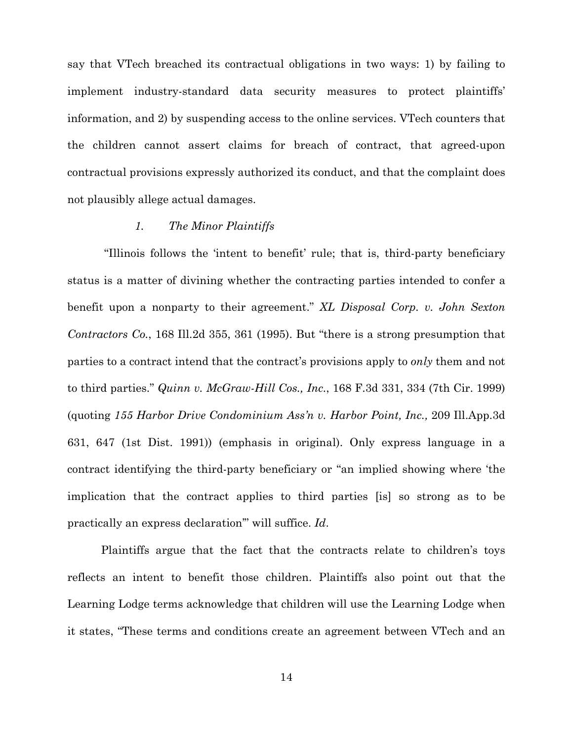say that VTech breached its contractual obligations in two ways: 1) by failing to implement industry-standard data security measures to protect plaintiffs' information, and 2) by suspending access to the online services. VTech counters that the children cannot assert claims for breach of contract, that agreed-upon contractual provisions expressly authorized its conduct, and that the complaint does not plausibly allege actual damages.

## *1. The Minor Plaintiffs*

 "Illinois follows the 'intent to benefit' rule; that is, third-party beneficiary status is a matter of divining whether the contracting parties intended to confer a benefit upon a nonparty to their agreement." *XL Disposal Corp. v. John Sexton Contractors Co.*, 168 Ill.2d 355, 361 (1995). But "there is a strong presumption that parties to a contract intend that the contract's provisions apply to *only* them and not to third parties." *Quinn v. McGraw-Hill Cos., Inc.*, 168 F.3d 331, 334 (7th Cir. 1999) (quoting *155 Harbor Drive Condominium Ass'n v. Harbor Point, Inc.,* 209 Ill.App.3d 631, 647 (1st Dist. 1991)) (emphasis in original). Only express language in a contract identifying the third-party beneficiary or "an implied showing where 'the implication that the contract applies to third parties [is] so strong as to be practically an express declaration'" will suffice. *Id*.

Plaintiffs argue that the fact that the contracts relate to children's toys reflects an intent to benefit those children. Plaintiffs also point out that the Learning Lodge terms acknowledge that children will use the Learning Lodge when it states, "These terms and conditions create an agreement between VTech and an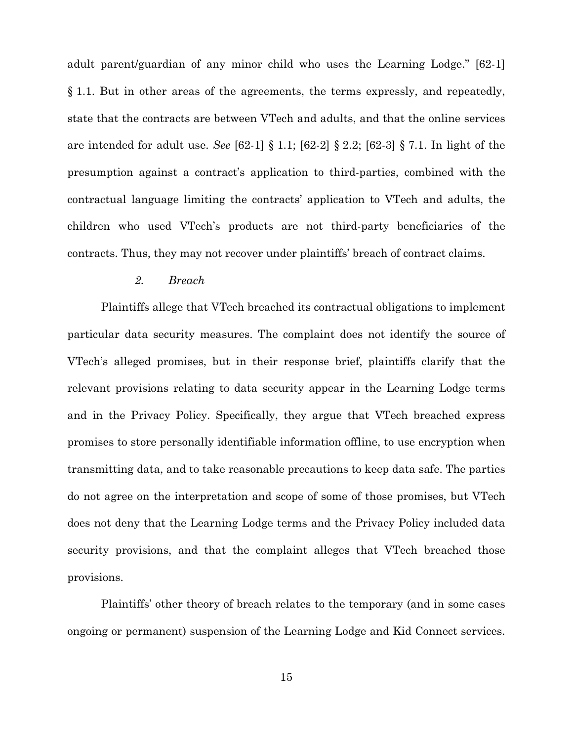adult parent/guardian of any minor child who uses the Learning Lodge." [62-1] § 1.1. But in other areas of the agreements, the terms expressly, and repeatedly, state that the contracts are between VTech and adults, and that the online services are intended for adult use. *See* [62-1] § 1.1; [62-2] § 2.2; [62-3] § 7.1. In light of the presumption against a contract's application to third-parties, combined with the contractual language limiting the contracts' application to VTech and adults, the children who used VTech's products are not third-party beneficiaries of the contracts. Thus, they may not recover under plaintiffs' breach of contract claims.

#### *2. Breach*

Plaintiffs allege that VTech breached its contractual obligations to implement particular data security measures. The complaint does not identify the source of VTech's alleged promises, but in their response brief, plaintiffs clarify that the relevant provisions relating to data security appear in the Learning Lodge terms and in the Privacy Policy. Specifically, they argue that VTech breached express promises to store personally identifiable information offline, to use encryption when transmitting data, and to take reasonable precautions to keep data safe. The parties do not agree on the interpretation and scope of some of those promises, but VTech does not deny that the Learning Lodge terms and the Privacy Policy included data security provisions, and that the complaint alleges that VTech breached those provisions.

Plaintiffs' other theory of breach relates to the temporary (and in some cases ongoing or permanent) suspension of the Learning Lodge and Kid Connect services.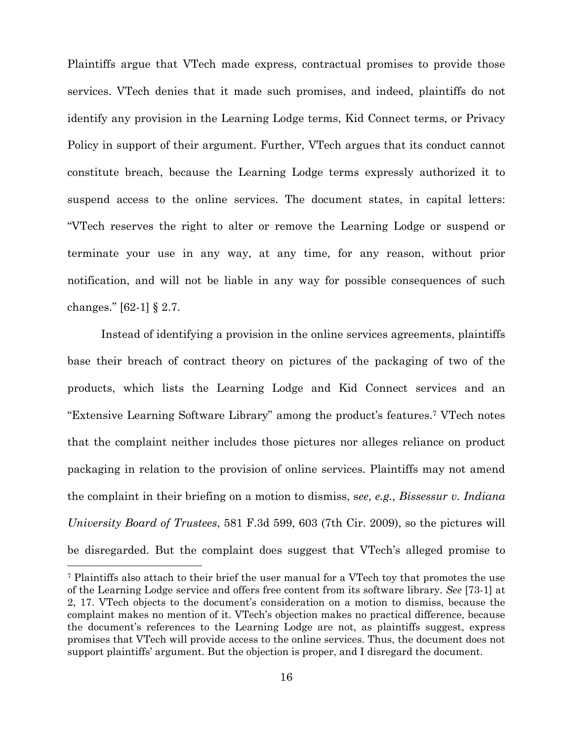Plaintiffs argue that VTech made express, contractual promises to provide those services. VTech denies that it made such promises, and indeed, plaintiffs do not identify any provision in the Learning Lodge terms, Kid Connect terms, or Privacy Policy in support of their argument. Further, VTech argues that its conduct cannot constitute breach, because the Learning Lodge terms expressly authorized it to suspend access to the online services. The document states, in capital letters: "VTech reserves the right to alter or remove the Learning Lodge or suspend or terminate your use in any way, at any time, for any reason, without prior notification, and will not be liable in any way for possible consequences of such changes." [62-1] § 2.7.

Instead of identifying a provision in the online services agreements, plaintiffs base their breach of contract theory on pictures of the packaging of two of the products, which lists the Learning Lodge and Kid Connect services and an "Extensive Learning Software Library" among the product's features.7 VTech notes that the complaint neither includes those pictures nor alleges reliance on product packaging in relation to the provision of online services. Plaintiffs may not amend the complaint in their briefing on a motion to dismiss, s*ee, e.g., Bissessur v. Indiana University Board of Trustees*, 581 F.3d 599, 603 (7th Cir. 2009), so the pictures will be disregarded. But the complaint does suggest that VTech's alleged promise to

 $\overline{a}$ 

<sup>7</sup> Plaintiffs also attach to their brief the user manual for a VTech toy that promotes the use of the Learning Lodge service and offers free content from its software library. *See* [73-1] at 2, 17. VTech objects to the document's consideration on a motion to dismiss, because the complaint makes no mention of it. VTech's objection makes no practical difference, because the document's references to the Learning Lodge are not, as plaintiffs suggest, express promises that VTech will provide access to the online services. Thus, the document does not support plaintiffs' argument. But the objection is proper, and I disregard the document.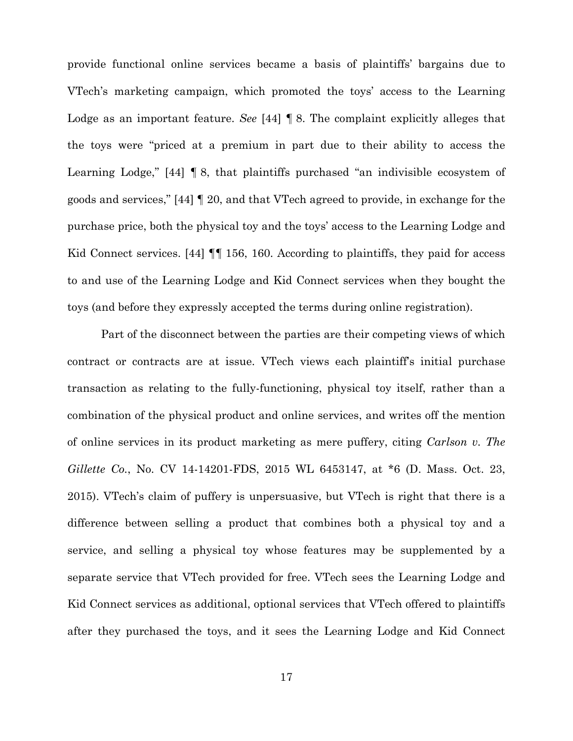provide functional online services became a basis of plaintiffs' bargains due to VTech's marketing campaign, which promoted the toys' access to the Learning Lodge as an important feature. *See* [44] ¶ 8. The complaint explicitly alleges that the toys were "priced at a premium in part due to their ability to access the Learning Lodge," [44] ¶ 8, that plaintiffs purchased "an indivisible ecosystem of goods and services," [44] ¶ 20, and that VTech agreed to provide, in exchange for the purchase price, both the physical toy and the toys' access to the Learning Lodge and Kid Connect services. [44]  $\P$  156, 160. According to plaintiffs, they paid for access to and use of the Learning Lodge and Kid Connect services when they bought the toys (and before they expressly accepted the terms during online registration).

Part of the disconnect between the parties are their competing views of which contract or contracts are at issue. VTech views each plaintiff's initial purchase transaction as relating to the fully-functioning, physical toy itself, rather than a combination of the physical product and online services, and writes off the mention of online services in its product marketing as mere puffery, citing *Carlson v. The Gillette Co.*, No. CV 14-14201-FDS, 2015 WL 6453147, at \*6 (D. Mass. Oct. 23, 2015). VTech's claim of puffery is unpersuasive, but VTech is right that there is a difference between selling a product that combines both a physical toy and a service, and selling a physical toy whose features may be supplemented by a separate service that VTech provided for free. VTech sees the Learning Lodge and Kid Connect services as additional, optional services that VTech offered to plaintiffs after they purchased the toys, and it sees the Learning Lodge and Kid Connect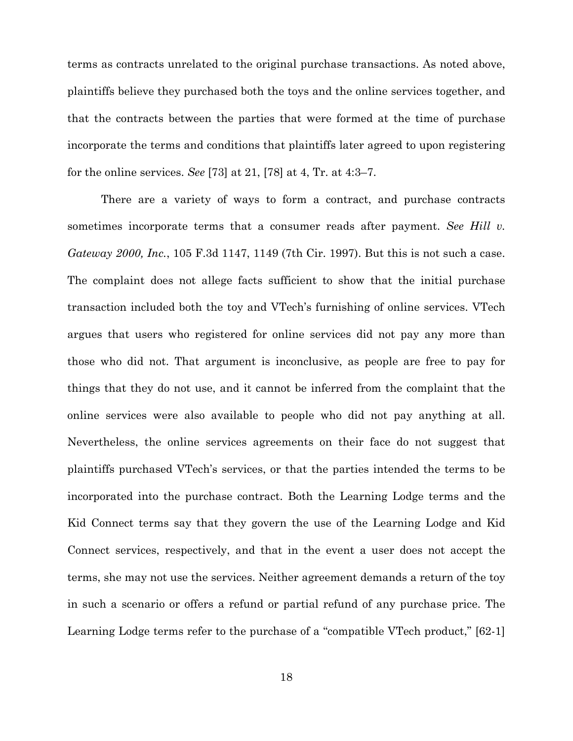terms as contracts unrelated to the original purchase transactions. As noted above, plaintiffs believe they purchased both the toys and the online services together, and that the contracts between the parties that were formed at the time of purchase incorporate the terms and conditions that plaintiffs later agreed to upon registering for the online services. *See* [73] at 21, [78] at 4, Tr. at 4:3–7.

There are a variety of ways to form a contract, and purchase contracts sometimes incorporate terms that a consumer reads after payment. *See Hill v. Gateway 2000, Inc.*, 105 F.3d 1147, 1149 (7th Cir. 1997). But this is not such a case. The complaint does not allege facts sufficient to show that the initial purchase transaction included both the toy and VTech's furnishing of online services. VTech argues that users who registered for online services did not pay any more than those who did not. That argument is inconclusive, as people are free to pay for things that they do not use, and it cannot be inferred from the complaint that the online services were also available to people who did not pay anything at all. Nevertheless, the online services agreements on their face do not suggest that plaintiffs purchased VTech's services, or that the parties intended the terms to be incorporated into the purchase contract. Both the Learning Lodge terms and the Kid Connect terms say that they govern the use of the Learning Lodge and Kid Connect services, respectively, and that in the event a user does not accept the terms, she may not use the services. Neither agreement demands a return of the toy in such a scenario or offers a refund or partial refund of any purchase price. The Learning Lodge terms refer to the purchase of a "compatible VTech product," [62-1]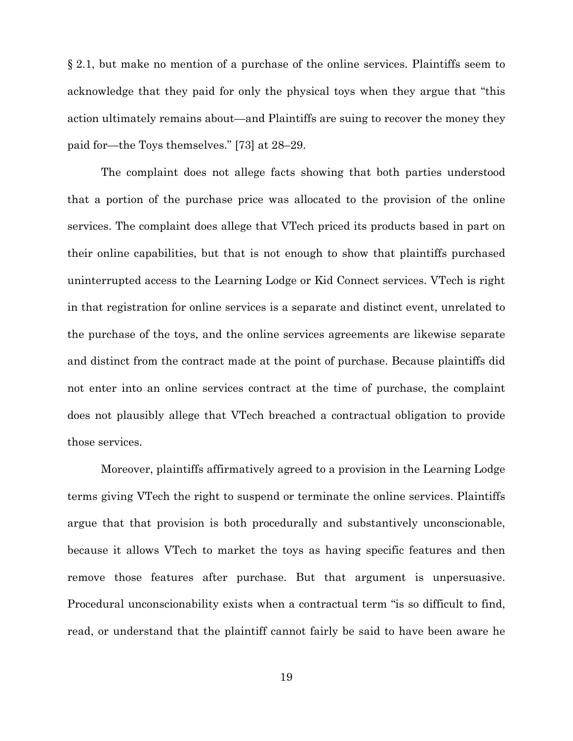§ 2.1, but make no mention of a purchase of the online services. Plaintiffs seem to acknowledge that they paid for only the physical toys when they argue that "this action ultimately remains about—and Plaintiffs are suing to recover the money they paid for—the Toys themselves." [73] at 28–29.

The complaint does not allege facts showing that both parties understood that a portion of the purchase price was allocated to the provision of the online services. The complaint does allege that VTech priced its products based in part on their online capabilities, but that is not enough to show that plaintiffs purchased uninterrupted access to the Learning Lodge or Kid Connect services. VTech is right in that registration for online services is a separate and distinct event, unrelated to the purchase of the toys, and the online services agreements are likewise separate and distinct from the contract made at the point of purchase. Because plaintiffs did not enter into an online services contract at the time of purchase, the complaint does not plausibly allege that VTech breached a contractual obligation to provide those services.

Moreover, plaintiffs affirmatively agreed to a provision in the Learning Lodge terms giving VTech the right to suspend or terminate the online services. Plaintiffs argue that that provision is both procedurally and substantively unconscionable, because it allows VTech to market the toys as having specific features and then remove those features after purchase. But that argument is unpersuasive. Procedural unconscionability exists when a contractual term "is so difficult to find, read, or understand that the plaintiff cannot fairly be said to have been aware he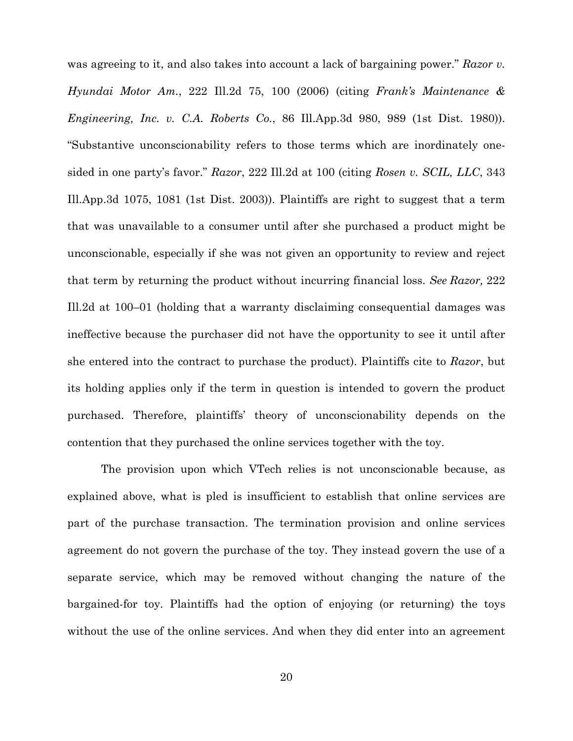was agreeing to it, and also takes into account a lack of bargaining power." *Razor v. Hyundai Motor Am.*, 222 Ill.2d 75, 100 (2006) (citing *Frank's Maintenance & Engineering, Inc. v. C.A. Roberts Co.*, 86 Ill.App.3d 980, 989 (1st Dist. 1980)). "Substantive unconscionability refers to those terms which are inordinately onesided in one party's favor." *Razor*, 222 Ill.2d at 100 (citing *Rosen v. SCIL, LLC*, 343 Ill.App.3d 1075, 1081 (1st Dist. 2003)). Plaintiffs are right to suggest that a term that was unavailable to a consumer until after she purchased a product might be unconscionable, especially if she was not given an opportunity to review and reject that term by returning the product without incurring financial loss. *See Razor,* 222 Ill.2d at 100–01 (holding that a warranty disclaiming consequential damages was ineffective because the purchaser did not have the opportunity to see it until after she entered into the contract to purchase the product). Plaintiffs cite to *Razor*, but its holding applies only if the term in question is intended to govern the product purchased. Therefore, plaintiffs' theory of unconscionability depends on the contention that they purchased the online services together with the toy.

The provision upon which VTech relies is not unconscionable because, as explained above, what is pled is insufficient to establish that online services are part of the purchase transaction. The termination provision and online services agreement do not govern the purchase of the toy. They instead govern the use of a separate service, which may be removed without changing the nature of the bargained-for toy. Plaintiffs had the option of enjoying (or returning) the toys without the use of the online services. And when they did enter into an agreement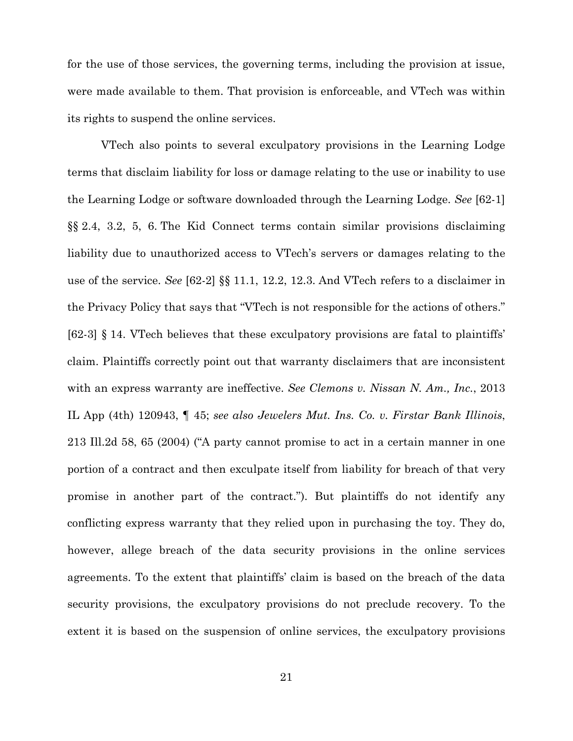for the use of those services, the governing terms, including the provision at issue, were made available to them. That provision is enforceable, and VTech was within its rights to suspend the online services.

VTech also points to several exculpatory provisions in the Learning Lodge terms that disclaim liability for loss or damage relating to the use or inability to use the Learning Lodge or software downloaded through the Learning Lodge. *See* [62-1] §§ 2.4, 3.2, 5, 6. The Kid Connect terms contain similar provisions disclaiming liability due to unauthorized access to VTech's servers or damages relating to the use of the service. *See* [62-2] §§ 11.1, 12.2, 12.3. And VTech refers to a disclaimer in the Privacy Policy that says that "VTech is not responsible for the actions of others." [62-3] § 14. VTech believes that these exculpatory provisions are fatal to plaintiffs' claim. Plaintiffs correctly point out that warranty disclaimers that are inconsistent with an express warranty are ineffective. *See Clemons v. Nissan N. Am., Inc.*, 2013 IL App (4th) 120943, ¶ 45; *see also Jewelers Mut. Ins. Co. v. Firstar Bank Illinois*, 213 Ill.2d 58, 65 (2004) ("A party cannot promise to act in a certain manner in one portion of a contract and then exculpate itself from liability for breach of that very promise in another part of the contract."). But plaintiffs do not identify any conflicting express warranty that they relied upon in purchasing the toy. They do, however, allege breach of the data security provisions in the online services agreements. To the extent that plaintiffs' claim is based on the breach of the data security provisions, the exculpatory provisions do not preclude recovery. To the extent it is based on the suspension of online services, the exculpatory provisions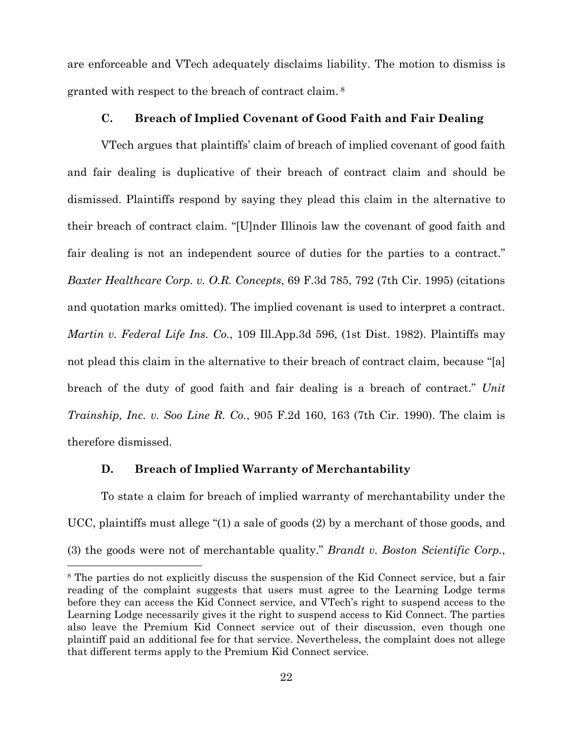are enforceable and VTech adequately disclaims liability. The motion to dismiss is granted with respect to the breach of contract claim. 8

## **C. Breach of Implied Covenant of Good Faith and Fair Dealing**

VTech argues that plaintiffs' claim of breach of implied covenant of good faith and fair dealing is duplicative of their breach of contract claim and should be dismissed. Plaintiffs respond by saying they plead this claim in the alternative to their breach of contract claim. "[U]nder Illinois law the covenant of good faith and fair dealing is not an independent source of duties for the parties to a contract." *Baxter Healthcare Corp. v. O.R. Concepts*, 69 F.3d 785, 792 (7th Cir. 1995) (citations and quotation marks omitted). The implied covenant is used to interpret a contract. *Martin v. Federal Life Ins. Co.*, 109 Ill.App.3d 596, (1st Dist. 1982). Plaintiffs may not plead this claim in the alternative to their breach of contract claim, because "[a] breach of the duty of good faith and fair dealing is a breach of contract." *Unit Trainship, Inc. v. Soo Line R. Co.*, 905 F.2d 160, 163 (7th Cir. 1990). The claim is therefore dismissed.

#### **D. Breach of Implied Warranty of Merchantability**

 $\overline{a}$ 

To state a claim for breach of implied warranty of merchantability under the UCC, plaintiffs must allege "(1) a sale of goods (2) by a merchant of those goods, and (3) the goods were not of merchantable quality." *Brandt v. Boston Scientific Corp.*,

<sup>8</sup> The parties do not explicitly discuss the suspension of the Kid Connect service, but a fair reading of the complaint suggests that users must agree to the Learning Lodge terms before they can access the Kid Connect service, and VTech's right to suspend access to the Learning Lodge necessarily gives it the right to suspend access to Kid Connect. The parties also leave the Premium Kid Connect service out of their discussion, even though one plaintiff paid an additional fee for that service. Nevertheless, the complaint does not allege that different terms apply to the Premium Kid Connect service.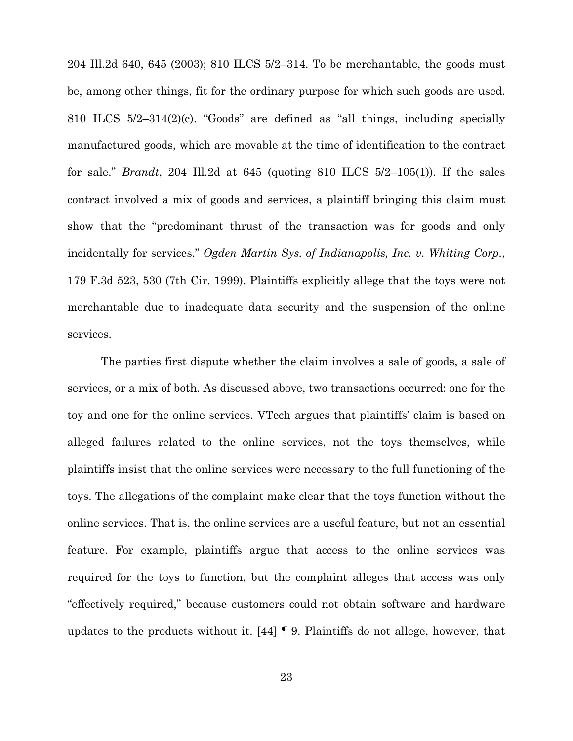204 Ill.2d 640, 645 (2003); 810 ILCS 5/2–314. To be merchantable, the goods must be, among other things, fit for the ordinary purpose for which such goods are used. 810 ILCS 5/2–314(2)(c). "Goods" are defined as "all things, including specially manufactured goods, which are movable at the time of identification to the contract for sale." *Brandt*, 204 Ill.2d at 645 (quoting 810 ILCS 5/2–105(1)). If the sales contract involved a mix of goods and services, a plaintiff bringing this claim must show that the "predominant thrust of the transaction was for goods and only incidentally for services." *Ogden Martin Sys. of Indianapolis, Inc. v. Whiting Corp.*, 179 F.3d 523, 530 (7th Cir. 1999). Plaintiffs explicitly allege that the toys were not merchantable due to inadequate data security and the suspension of the online services.

The parties first dispute whether the claim involves a sale of goods, a sale of services, or a mix of both. As discussed above, two transactions occurred: one for the toy and one for the online services. VTech argues that plaintiffs' claim is based on alleged failures related to the online services, not the toys themselves, while plaintiffs insist that the online services were necessary to the full functioning of the toys. The allegations of the complaint make clear that the toys function without the online services. That is, the online services are a useful feature, but not an essential feature. For example, plaintiffs argue that access to the online services was required for the toys to function, but the complaint alleges that access was only "effectively required," because customers could not obtain software and hardware updates to the products without it. [44] ¶ 9. Plaintiffs do not allege, however, that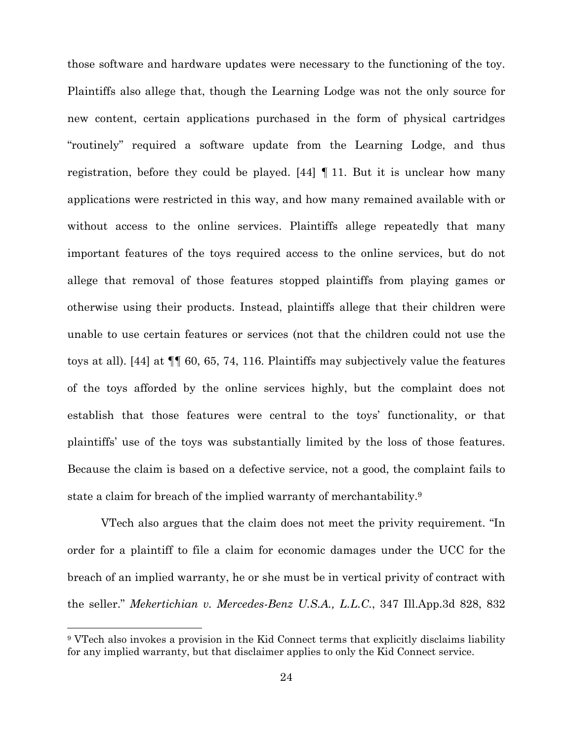those software and hardware updates were necessary to the functioning of the toy. Plaintiffs also allege that, though the Learning Lodge was not the only source for new content, certain applications purchased in the form of physical cartridges "routinely" required a software update from the Learning Lodge, and thus registration, before they could be played. [44] ¶ 11. But it is unclear how many applications were restricted in this way, and how many remained available with or without access to the online services. Plaintiffs allege repeatedly that many important features of the toys required access to the online services, but do not allege that removal of those features stopped plaintiffs from playing games or otherwise using their products. Instead, plaintiffs allege that their children were unable to use certain features or services (not that the children could not use the toys at all). [44] at ¶¶ 60, 65, 74, 116. Plaintiffs may subjectively value the features of the toys afforded by the online services highly, but the complaint does not establish that those features were central to the toys' functionality, or that plaintiffs' use of the toys was substantially limited by the loss of those features. Because the claim is based on a defective service, not a good, the complaint fails to state a claim for breach of the implied warranty of merchantability.9

VTech also argues that the claim does not meet the privity requirement. "In order for a plaintiff to file a claim for economic damages under the UCC for the breach of an implied warranty, he or she must be in vertical privity of contract with the seller." *Mekertichian v. Mercedes-Benz U.S.A., L.L.C.*, 347 Ill.App.3d 828, 832

l

<sup>9</sup> VTech also invokes a provision in the Kid Connect terms that explicitly disclaims liability for any implied warranty, but that disclaimer applies to only the Kid Connect service.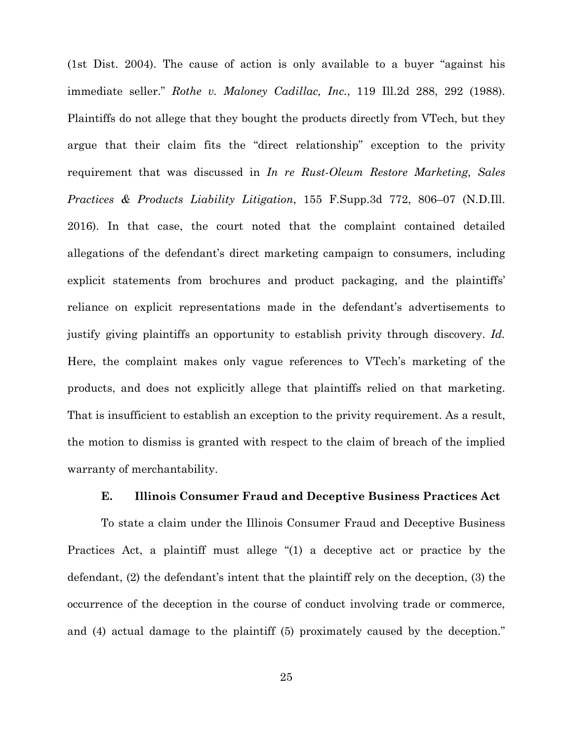(1st Dist. 2004). The cause of action is only available to a buyer "against his immediate seller." *Rothe v. Maloney Cadillac, Inc.*, 119 Ill.2d 288, 292 (1988). Plaintiffs do not allege that they bought the products directly from VTech, but they argue that their claim fits the "direct relationship" exception to the privity requirement that was discussed in *In re Rust-Oleum Restore Marketing, Sales Practices & Products Liability Litigation*, 155 F.Supp.3d 772, 806–07 (N.D.Ill. 2016). In that case, the court noted that the complaint contained detailed allegations of the defendant's direct marketing campaign to consumers, including explicit statements from brochures and product packaging, and the plaintiffs' reliance on explicit representations made in the defendant's advertisements to justify giving plaintiffs an opportunity to establish privity through discovery. *Id.* Here, the complaint makes only vague references to VTech's marketing of the products, and does not explicitly allege that plaintiffs relied on that marketing. That is insufficient to establish an exception to the privity requirement. As a result, the motion to dismiss is granted with respect to the claim of breach of the implied warranty of merchantability.

#### **E. Illinois Consumer Fraud and Deceptive Business Practices Act**

To state a claim under the Illinois Consumer Fraud and Deceptive Business Practices Act, a plaintiff must allege "(1) a deceptive act or practice by the defendant, (2) the defendant's intent that the plaintiff rely on the deception, (3) the occurrence of the deception in the course of conduct involving trade or commerce, and (4) actual damage to the plaintiff (5) proximately caused by the deception."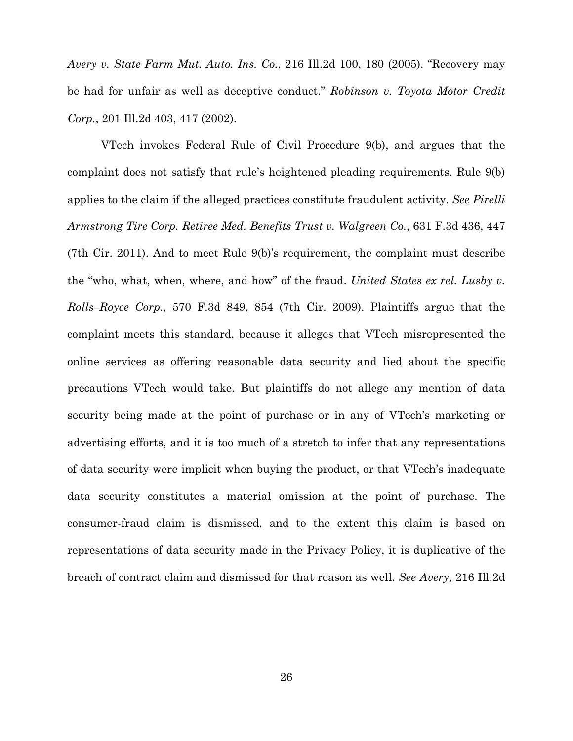*Avery v. State Farm Mut. Auto. Ins. Co.*, 216 Ill.2d 100, 180 (2005). "Recovery may be had for unfair as well as deceptive conduct." *Robinson v. Toyota Motor Credit Corp.*, 201 Ill.2d 403, 417 (2002).

VTech invokes Federal Rule of Civil Procedure 9(b), and argues that the complaint does not satisfy that rule's heightened pleading requirements. Rule 9(b) applies to the claim if the alleged practices constitute fraudulent activity. *See Pirelli Armstrong Tire Corp. Retiree Med. Benefits Trust v. Walgreen Co.*, 631 F.3d 436, 447 (7th Cir. 2011). And to meet Rule 9(b)'s requirement, the complaint must describe the "who, what, when, where, and how" of the fraud. *United States ex rel. Lusby v. Rolls–Royce Corp.*, 570 F.3d 849, 854 (7th Cir. 2009). Plaintiffs argue that the complaint meets this standard, because it alleges that VTech misrepresented the online services as offering reasonable data security and lied about the specific precautions VTech would take. But plaintiffs do not allege any mention of data security being made at the point of purchase or in any of VTech's marketing or advertising efforts, and it is too much of a stretch to infer that any representations of data security were implicit when buying the product, or that VTech's inadequate data security constitutes a material omission at the point of purchase. The consumer-fraud claim is dismissed, and to the extent this claim is based on representations of data security made in the Privacy Policy, it is duplicative of the breach of contract claim and dismissed for that reason as well. *See Avery*, 216 Ill.2d